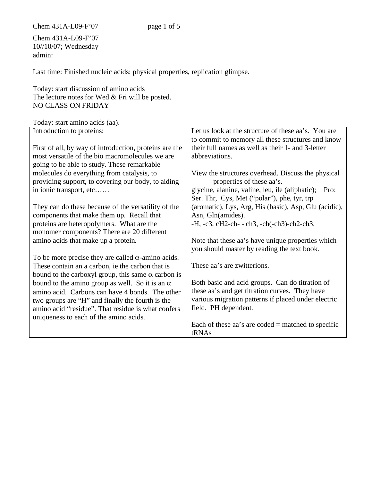Chem 431A-L09-F'07 page 1 of 5

Chem 431A-L09-F'07 10//10/07; Wednesday admin:

Last time: Finished nucleic acids: physical properties, replication glimpse.

Today: start discussion of amino acids The lecture notes for Wed & Fri will be posted. NO CLASS ON FRIDAY

Today: start amino acids (aa).

| Introduction to proteins:                                 | Let us look at the structure of these aa's. You are     |
|-----------------------------------------------------------|---------------------------------------------------------|
|                                                           | to commit to memory all these structures and know       |
| First of all, by way of introduction, proteins are the    | their full names as well as their 1- and 3-letter       |
| most versatile of the bio macromolecules we are           | abbreviations.                                          |
| going to be able to study. These remarkable               |                                                         |
| molecules do everything from catalysis, to                | View the structures overhead. Discuss the physical      |
| providing support, to covering our body, to aiding        | properties of these aa's.                               |
| in ionic transport, etc                                   | glycine, alanine, valine, leu, ile (aliphatic); Pro;    |
|                                                           | Ser. Thr, Cys, Met ("polar"), phe, tyr, trp             |
| They can do these because of the versatility of the       | (aromatic), Lys, Arg, His (basic), Asp, Glu (acidic),   |
| components that make them up. Recall that                 | Asn, Gln(amides).                                       |
| proteins are heteropolymers. What are the                 | $-H$ , $-c3$ , $cH2-ch$ - $ch3$ , $-ch(-ch3)-ch2-ch3$ , |
| monomer components? There are 20 different                |                                                         |
| amino acids that make up a protein.                       | Note that these aa's have unique properties which       |
|                                                           | you should master by reading the text book.             |
| To be more precise they are called $\alpha$ -amino acids. |                                                         |
| These contain an a carbon, ie the carbon that is          | These aa's are zwitterions.                             |
| bound to the carboxyl group, this same $\alpha$ carbon is |                                                         |
| bound to the amino group as well. So it is an $\alpha$    | Both basic and acid groups. Can do titration of         |
| amino acid. Carbons can have 4 bonds. The other           | these aa's and get titration curves. They have          |
| two groups are "H" and finally the fourth is the          | various migration patterns if placed under electric     |
| amino acid "residue". That residue is what confers        | field. PH dependent.                                    |
| uniqueness to each of the amino acids.                    |                                                         |
|                                                           | Each of these aa's are coded $=$ matched to specific    |
|                                                           | tRNAs                                                   |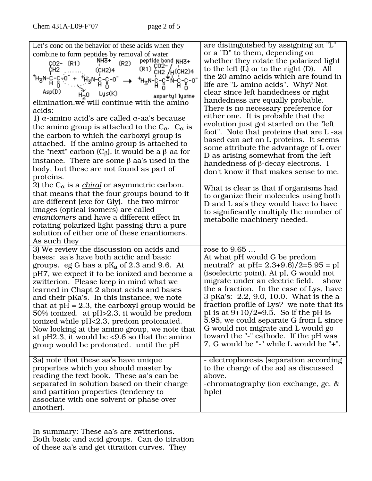| Let's conc on the behavior of these acids when they<br>combine to form peptides by removal of water<br>peptide bond NH3+                                                                                                                                                                                                                                                                                                                                                                                                                                                                                            | are distinguished by assigning an "L"<br>or a "D" to them, depending on<br>whether they rotate the polarized light                                                                                                                                                                                                                                                                                                                                                                                                              |
|---------------------------------------------------------------------------------------------------------------------------------------------------------------------------------------------------------------------------------------------------------------------------------------------------------------------------------------------------------------------------------------------------------------------------------------------------------------------------------------------------------------------------------------------------------------------------------------------------------------------|---------------------------------------------------------------------------------------------------------------------------------------------------------------------------------------------------------------------------------------------------------------------------------------------------------------------------------------------------------------------------------------------------------------------------------------------------------------------------------------------------------------------------------|
| NH3+<br>'<br>(R2)<br>ÇO2- (R1)<br>$(R1)$ $^{CO2-}_{CH2}/_{H}$ (CH <sub>2</sub> )4<br>ĊН2<br>(CH2)4                                                                                                                                                                                                                                                                                                                                                                                                                                                                                                                  | to the left $(L)$ or to the right $(D)$ . All<br>the 20 amino acids which are found in                                                                                                                                                                                                                                                                                                                                                                                                                                          |
| ᆘᆊ <sub>ᢃ</sub> N-C-C-N-C-C-O<br>ऻऻ<br>Asp(D)<br>Lys(K)<br>H <sub>2</sub> 0<br>aspartyl lysine                                                                                                                                                                                                                                                                                                                                                                                                                                                                                                                      | life are "L-amino acids". Why? Not<br>clear since left handedness or right                                                                                                                                                                                                                                                                                                                                                                                                                                                      |
| elimination.we will continue with the amino<br>acids:<br>1) α-amino acid's are called $\alpha$ -aa's because                                                                                                                                                                                                                                                                                                                                                                                                                                                                                                        | handedness are equally probable.<br>There is no necessary preference for<br>either one. It is probable that the                                                                                                                                                                                                                                                                                                                                                                                                                 |
| the amino group is attached to the $C_{\alpha}$ . $C_{\alpha}$ is<br>the carbon to which the carboxyl group is                                                                                                                                                                                                                                                                                                                                                                                                                                                                                                      | evolution just got started on the "left"<br>foot". Note that proteins that are L-aa                                                                                                                                                                                                                                                                                                                                                                                                                                             |
| attached. If the amino group is attached to<br>the "next" carbon (C <sub>β</sub> ), it would be a β-aa for                                                                                                                                                                                                                                                                                                                                                                                                                                                                                                          | based can act on L proteins. It seems<br>some attribute the advantage of L over<br>D as arising somewhat from the left                                                                                                                                                                                                                                                                                                                                                                                                          |
| instance. There are some $\beta$ aa's used in the<br>body, but these are not found as part of<br>proteins.                                                                                                                                                                                                                                                                                                                                                                                                                                                                                                          | handedness of $\beta$ -decay electrons. I<br>don't know if that makes sense to me.                                                                                                                                                                                                                                                                                                                                                                                                                                              |
| 2) the C <sub><math>\alpha</math></sub> is a <i>chiral</i> or asymmetric carbon.<br>that means that the four groups bound to it<br>are different (exc for Gly). the two mirror<br>images (optical isomers) are called<br>enantiomers and have a different effect in<br>rotating polarized light passing thru a pure                                                                                                                                                                                                                                                                                                 | What is clear is that if organisms had<br>to organize their molecules using both<br>D and L aa's they would have to have<br>to significantly multiply the number of<br>metabolic machinery needed.                                                                                                                                                                                                                                                                                                                              |
| solution of either one of these enantiomers.<br>As such they                                                                                                                                                                                                                                                                                                                                                                                                                                                                                                                                                        |                                                                                                                                                                                                                                                                                                                                                                                                                                                                                                                                 |
| 3) We review the discussion on acids and<br>bases: aa's have both acidic and basic<br>groups. $eg G$ has a p $K_a$ of 2.3 and 9.6. At<br>pH7, we expect it to be ionized and become a<br>zwitterion. Please keep in mind what we<br>learned in Chapt 2 about acids and bases<br>and their pKa's. In this instance, we note<br>that at $pH = 2.3$ , the carboxyl group would be<br>50% ionized. at pH>2.3, it would be predom<br>ionized while pH<2.3, predom protonated.<br>Now looking at the amino group, we note that<br>at pH2.3, it would be <9.6 so that the amino<br>group would be protonated. until the pH | rose to 9.65<br>At what pH would G be predom<br>neutral? at pH= $2.3+9.6$ /2=5.95 = pI<br>(isoelectric point). At pI, G would not<br>migrate under an electric field.<br>show<br>the a fraction. In the case of Lys, have<br>3 pKa's: 2.2, 9.0, 10.0. What is the a<br>fraction profile of Lys? we note that its<br>pI is at $9+10/2=9.5$ . So if the pH is<br>5.95, we could separate G from L since<br>G would not migrate and L would go<br>toward the "-" cathode. If the pH was<br>7, G would be "-" while L would be "+". |
| 3a) note that these aa's have unique<br>properties which you should master by<br>reading the text book. These aa's can be<br>separated in solution based on their charge<br>and partition properties (tendency to<br>associate with one solvent or phase over<br>another).                                                                                                                                                                                                                                                                                                                                          | - electrophoresis (separation according<br>to the charge of the aa) as discussed<br>above.<br>-chromatography (ion exchange, gc, &<br>hplc)                                                                                                                                                                                                                                                                                                                                                                                     |

In summary: These aa's are zwitterions. Both basic and acid groups. Can do titration of these aa's and get titration curves. They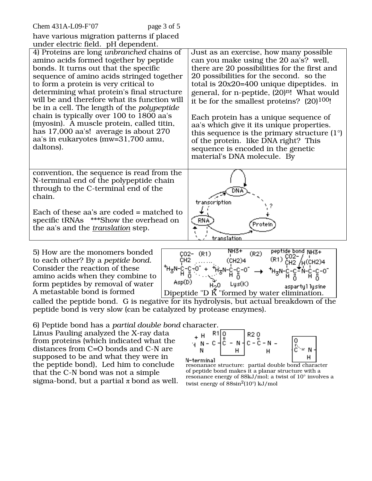| Chem 431A-L09-F'07<br>page 3 of 5                                                                                                                                                                                                                                                                                                                                                                                                                                                                                                                           |                                                                                                                                                                                                                                                                                                                                                                                                                                                                                                                                                                                                  |  |
|-------------------------------------------------------------------------------------------------------------------------------------------------------------------------------------------------------------------------------------------------------------------------------------------------------------------------------------------------------------------------------------------------------------------------------------------------------------------------------------------------------------------------------------------------------------|--------------------------------------------------------------------------------------------------------------------------------------------------------------------------------------------------------------------------------------------------------------------------------------------------------------------------------------------------------------------------------------------------------------------------------------------------------------------------------------------------------------------------------------------------------------------------------------------------|--|
| have various migration patterns if placed                                                                                                                                                                                                                                                                                                                                                                                                                                                                                                                   |                                                                                                                                                                                                                                                                                                                                                                                                                                                                                                                                                                                                  |  |
| under electric field. pH dependent.                                                                                                                                                                                                                                                                                                                                                                                                                                                                                                                         |                                                                                                                                                                                                                                                                                                                                                                                                                                                                                                                                                                                                  |  |
| 4) Proteins are long unbranched chains of<br>amino acids formed together by peptide<br>bonds. It turns out that the specific<br>sequence of amino acids stringed together<br>to form a protein is very critical to<br>determining what protein's final structure<br>will be and therefore what its function will<br>be in a cell. The length of the <i>polypeptide</i><br>chain is typically over 100 to 1800 aa's<br>(myosin). A muscle protein, called titin,<br>has 17,000 aa's! average is about 270<br>aa's in eukaryotes (mw=31,700 amu,<br>daltons). | Just as an exercise, how many possible<br>can you make using the 20 aa's? well,<br>there are 20 possibilities for the first and<br>20 possibilities for the second. so the<br>total is $20x20=400$ unique dipeptides. in<br>general, for n-peptide, (20) <sup>n</sup> ! What would<br>it be for the smallest proteins? $(20)^{100}$ !<br>Each protein has a unique sequence of<br>aa's which give it its unique properties.<br>this sequence is the primary structure $(1^{\circ})$<br>of the protein. like DNA right? This<br>sequence is encoded in the genetic<br>material's DNA molecule. By |  |
| convention, the sequence is read from the<br>N-terminal end of the polypeptide chain<br>through to the C-terminal end of the<br>chain.<br>Each of these aa's are coded = matched to<br>specific tRNAs ***Show the overhead on<br>the aa's and the <i>translation</i> step.                                                                                                                                                                                                                                                                                  | transcription<br><b>RNA</b><br>Protein<br>translation                                                                                                                                                                                                                                                                                                                                                                                                                                                                                                                                            |  |
| NH3+<br>peptide bond NH3+<br>5) How are the monomers bonded<br>$CO2 (R1)$<br>(R2)                                                                                                                                                                                                                                                                                                                                                                                                                                                                           |                                                                                                                                                                                                                                                                                                                                                                                                                                                                                                                                                                                                  |  |

to each other? By a *peptide bond*. Consider the reaction of these amino acids when they combine to form peptides by removal of water<br>A metastable bond is formed



called the peptide bond. G is negative for its hydrolysis, but actual breakdown of the peptide bond is very slow (can be catalyzed by protease enzymes).

6) Peptide bond has a *partial double bond* character.

Linus Pauling analyzed the X-ray data from proteins (which indicated what the distances from C=O bonds and C-N are supposed to be and what they were in the peptide bond), Led him to conclude that the C-N bond was not a simple sigma-bond, but a partial  $\pi$  bond as well.



N-terminal<br>resonanace structure: partial double bond character of peptide bond makes it a planar structure with a resonance energy of 88kJ/mol; a twist of 10° involves a twist energy of  $88\sin^2(10^\circ)$  kJ/mol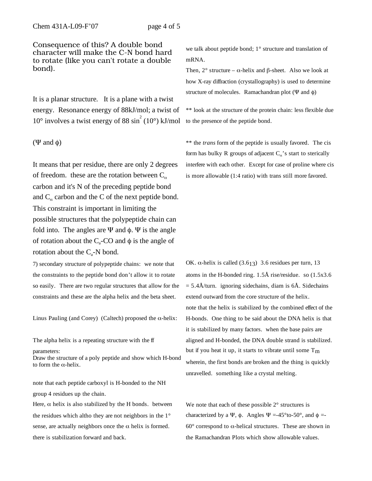Consequence of this? A double bond character will make the C-N bond hard to rotate (like you can't rotate a double bond).

It is a planar structure. It is a plane with a twist energy. Resonance energy of 88kJ/mol; a twist of  $10^{\circ}$  involves a twist energy of 88 sin<sup>2</sup> (10°) kJ/mol

 $(\Psi$  and  $\phi)$ 

It means that per residue, there are only 2 degrees of freedom. these are the rotation between  $C_{\alpha}$ carbon and it's N of the preceding peptide bond and  $C_{\alpha}$  carbon and the C of the next peptide bond. This constraint is important in limiting the possible structures that the polypeptide chain can fold into. The angles are  $\Psi$  and  $\phi$ .  $\Psi$  is the angle of rotation about the  $C_a$ -CO and  $\phi$  is the angle of rotation about the  $C_a$ -N bond.

7) secondary structure of polypeptide chains: we note that the constraints to the peptide bond don't allow it to rotate so easily. There are two regular structures that allow for the constraints and these are the alpha helix and the beta sheet.

Linus Pauling (and Corey) (Caltech) proposed the  $\alpha$ -helix:

The alpha helix is a repeating structure with the ff

parameters:

Draw the structure of a poly peptide and show which H-bond to form the  $\alpha$ -helix.

note that each peptide carboxyl is H-bonded to the NH group 4 residues up the chain.

Here,  $\alpha$  helix is also stabilized by the H bonds. between the residues which altho they are not neighbors in the 1° sense, are actually neighbors once the  $\alpha$  helix is formed. there is stabilization forward and back.

we talk about peptide bond; 1° structure and translation of mRNA.

Then,  $2^{\circ}$  structure –  $\alpha$ -helix and  $\beta$ -sheet. Also we look at how X-ray diffraction (crystallography) is used to determine structure of molecules. Ramachandran plot ( $\Psi$  and  $\phi$ )

\*\* look at the structure of the protein chain: less flexible due to the presence of the peptide bond.

\*\* the *trans* form of the peptide is usually favored. The cis form has bulky R groups of adjacent  $C_{\alpha}$ 's start to sterically interfere with each other. Except for case of proline where cis is more allowable (1:4 ratio) with trans still more favored.

OK.  $\alpha$ -helix is called (3.613) 3.6 residues per turn, 13 atoms in the H-bonded ring. 1.5Å rise/residue. so (1.5x3.6  $= 5.4\text{\AA}/\text{turn}$ . ignoring sidechains, diam is 6Å. Sidechains extend outward from the core structure of the helix. note that the helix is stabilized by the combined effect of the H-bonds. One thing to be said about the DNA helix is that it is stabilized by many factors. when the base pairs are aligned and H-bonded, the DNA double strand is stabilized. but if you heat it up, it starts to vibrate until some  $T_m$ wherein, the first bonds are broken and the thing is quickly unravelled. something like a crystal melting.

We note that each of these possible  $2^\circ$  structures is characterized by a  $\Psi$ ,  $\phi$ . Angles  $\Psi = -45^{\circ}$  to -50°, and  $\phi = 60^\circ$  correspond to  $\alpha$ -helical structures. These are shown in the Ramachandran Plots which show allowable values.